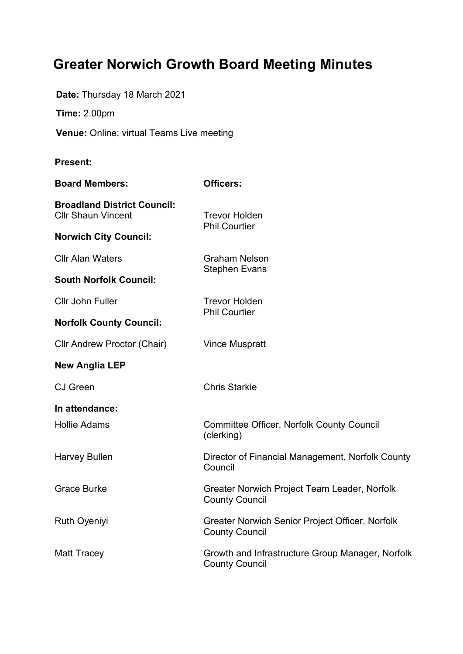# **Greater Norwich Growth Board Meeting Minutes**

**Date:** Thursday 18 March 2021

**Time:** 2.00pm

**Venue:** Online; virtual Teams Live meeting

#### **Present:**

| <b>Board Members:</b>                                           | <b>Officers:</b>                                                          |
|-----------------------------------------------------------------|---------------------------------------------------------------------------|
| <b>Broadland District Council:</b><br><b>Cllr Shaun Vincent</b> | <b>Trevor Holden</b><br><b>Phil Courtier</b>                              |
| <b>Norwich City Council:</b>                                    |                                                                           |
| <b>CIIr Alan Waters</b>                                         | <b>Graham Nelson</b><br><b>Stephen Evans</b>                              |
| <b>South Norfolk Council:</b>                                   |                                                                           |
| <b>Cllr John Fuller</b>                                         | <b>Trevor Holden</b><br><b>Phil Courtier</b>                              |
| <b>Norfolk County Council:</b>                                  |                                                                           |
| <b>Cllr Andrew Proctor (Chair)</b>                              | <b>Vince Muspratt</b>                                                     |
| <b>New Anglia LEP</b>                                           |                                                                           |
| <b>CJ</b> Green                                                 | <b>Chris Starkie</b>                                                      |
| In attendance:                                                  |                                                                           |
| <b>Hollie Adams</b>                                             | <b>Committee Officer, Norfolk County Council</b><br>(clerking)            |
| <b>Harvey Bullen</b>                                            | Director of Financial Management, Norfolk County<br>Council               |
| <b>Grace Burke</b>                                              | Greater Norwich Project Team Leader, Norfolk<br><b>County Council</b>     |
| <b>Ruth Oyeniyi</b>                                             | Greater Norwich Senior Project Officer, Norfolk<br><b>County Council</b>  |
| <b>Matt Tracey</b>                                              | Growth and Infrastructure Group Manager, Norfolk<br><b>County Council</b> |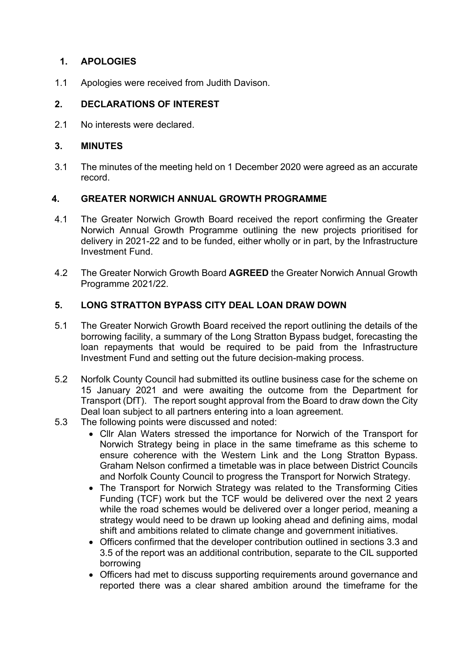## **1. APOLOGIES**

1.1 Apologies were received from Judith Davison.

## **2. DECLARATIONS OF INTEREST**

2.1 No interests were declared.

## **3. MINUTES**

3.1 The minutes of the meeting held on 1 December 2020 were agreed as an accurate record.

## **4. GREATER NORWICH ANNUAL GROWTH PROGRAMME**

- 4.1 The Greater Norwich Growth Board received the report confirming the Greater Norwich Annual Growth Programme outlining the new projects prioritised for delivery in 2021-22 and to be funded, either wholly or in part, by the Infrastructure Investment Fund.
- 4.2 The Greater Norwich Growth Board **AGREED** the Greater Norwich Annual Growth Programme 2021/22.

## **5. LONG STRATTON BYPASS CITY DEAL LOAN DRAW DOWN**

- 5.1 The Greater Norwich Growth Board received the report outlining the details of the borrowing facility, a summary of the Long Stratton Bypass budget, forecasting the loan repayments that would be required to be paid from the Infrastructure Investment Fund and setting out the future decision-making process.
- 5.2 Norfolk County Council had submitted its outline business case for the scheme on 15 January 2021 and were awaiting the outcome from the Department for Transport (DfT). The report sought approval from the Board to draw down the City Deal loan subject to all partners entering into a loan agreement.
- 5.3 The following points were discussed and noted:
	- Cllr Alan Waters stressed the importance for Norwich of the Transport for Norwich Strategy being in place in the same timeframe as this scheme to ensure coherence with the Western Link and the Long Stratton Bypass. Graham Nelson confirmed a timetable was in place between District Councils and Norfolk County Council to progress the Transport for Norwich Strategy.
	- The Transport for Norwich Strategy was related to the Transforming Cities Funding (TCF) work but the TCF would be delivered over the next 2 years while the road schemes would be delivered over a longer period, meaning a strategy would need to be drawn up looking ahead and defining aims, modal shift and ambitions related to climate change and government initiatives.
	- Officers confirmed that the developer contribution outlined in sections 3.3 and 3.5 of the report was an additional contribution, separate to the CIL supported borrowing
	- Officers had met to discuss supporting requirements around governance and reported there was a clear shared ambition around the timeframe for the